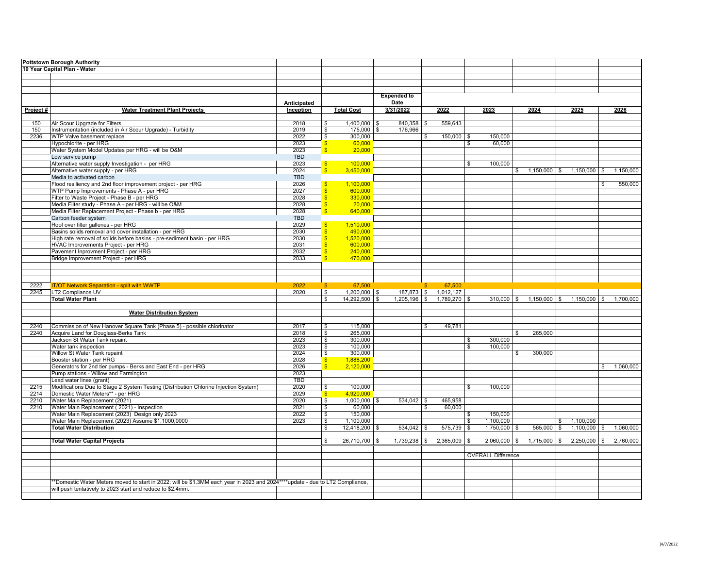|          | <b>Pottstown Borough Authority</b>                                                                                            |             |                         |                   |                      |              |                |                           |                      |              |                                        |              |           |
|----------|-------------------------------------------------------------------------------------------------------------------------------|-------------|-------------------------|-------------------|----------------------|--------------|----------------|---------------------------|----------------------|--------------|----------------------------------------|--------------|-----------|
|          | 10 Year Capital Plan - Water                                                                                                  |             |                         |                   |                      |              |                |                           |                      |              |                                        |              |           |
|          |                                                                                                                               |             |                         |                   |                      |              |                |                           |                      |              |                                        |              |           |
|          |                                                                                                                               |             |                         |                   |                      |              |                |                           |                      |              |                                        |              |           |
|          |                                                                                                                               |             |                         |                   |                      |              |                |                           |                      |              |                                        |              |           |
|          |                                                                                                                               |             |                         |                   | <b>Expended to</b>   |              |                |                           |                      |              |                                        |              |           |
|          |                                                                                                                               | Anticipated |                         |                   | Date                 |              |                |                           |                      |              |                                        |              |           |
| Project# | <b>Water Treatment Plant Projects</b>                                                                                         | Inception   |                         | <b>Total Cost</b> | 3/31/2022            |              | 2022           | 2023                      | 2024                 |              | 2025                                   |              | 2026      |
|          |                                                                                                                               |             |                         |                   |                      |              |                |                           |                      |              |                                        |              |           |
| 150      | Air Scour Upgrade for Filters                                                                                                 | 2018        | \$                      | $1,400,000$ \$    | $840,358$ \$         |              | 559,643        |                           |                      |              |                                        |              |           |
| 150      | Instrumentation (included in Air Scour Upgrade) - Turbidity                                                                   | 2019        | \$                      | $175,000$ \$      | 176,966              |              |                |                           |                      |              |                                        |              |           |
| 2236     | WTP Valve basement replace                                                                                                    | 2022        | $\frac{1}{2}$           | 300.000           |                      | \$           | $150,000$ \$   | 150,000                   |                      |              |                                        |              |           |
|          | Hypochlorite - per HRG                                                                                                        | 2023        | $\sqrt[6]{3}$           | 60,000            |                      |              |                | \$<br>60,000              |                      |              |                                        |              |           |
|          | Water System Model Updates per HRG - will be O&M                                                                              | 2023        | $\mathbf{s}$            | 20,000            |                      |              |                |                           |                      |              |                                        |              |           |
|          | Low service pump                                                                                                              | <b>TBD</b>  |                         |                   |                      |              |                |                           |                      |              |                                        |              |           |
|          | Alternative water supply Investigation - per HRG                                                                              | 2023        | $\mathbf{s}$            | 100,000           |                      |              |                | \$<br>100,000             |                      |              |                                        |              |           |
|          | Alternative water supply - per HRG                                                                                            | 2024        | $\mathbf{s}$            | 3,450,000         |                      |              |                |                           | \$<br>$1,150,000$ \$ |              | $1,150,000$ \$                         |              | 1,150,000 |
|          | Media to activated carbon                                                                                                     | <b>TBD</b>  |                         |                   |                      |              |                |                           |                      |              |                                        |              |           |
|          | Flood resiliency and 2nd floor improvement project - per HRG                                                                  | 2026        |                         | 1,100,000         |                      |              |                |                           |                      |              |                                        | \$           | 550,000   |
|          | WTP Pump Improvements - Phase A - per HRG                                                                                     | 2027        | $\mathbf{\hat{s}}$      | 600,000           |                      |              |                |                           |                      |              |                                        |              |           |
|          | Filter to Waste Project - Phase B - per HRG                                                                                   | 2028        | <sub>\$</sub>           | 330,000           |                      |              |                |                           |                      |              |                                        |              |           |
|          | Media Filter study - Phase A - per HRG - will be O&M                                                                          | 2028        | $\overline{\mathbf{S}}$ | 20,000            |                      |              |                |                           |                      |              |                                        |              |           |
|          | Media Filter Replacement Project - Phase b - per HRG                                                                          | 2028        | S                       | 640,000           |                      |              |                |                           |                      |              |                                        |              |           |
|          | Carbon feeder system                                                                                                          | <b>TBD</b>  |                         |                   |                      |              |                |                           |                      |              |                                        |              |           |
|          | Roof over filter galleries - per HRG                                                                                          | 2029        | $\mathbf{s}$            | 1,510,000         |                      |              |                |                           |                      |              |                                        |              |           |
|          | Basins solids removal and cover installation - per HRG                                                                        | 2030        |                         | 490,000           |                      |              |                |                           |                      |              |                                        |              |           |
|          | High rate removal of solids before basins - pre-sediment basin - per HRG                                                      | 2030        | <sub>S</sub>            | 1,520,000         |                      |              |                |                           |                      |              |                                        |              |           |
|          | HVAC Improvements Project - per HRG                                                                                           | 2031        | <sub>S</sub>            | 600.000           |                      |              |                |                           |                      |              |                                        |              |           |
|          | Pavement Inprovment Project - per HRG                                                                                         | 2032        | \$                      | 240,000           |                      |              |                |                           |                      |              |                                        |              |           |
|          | Bridge Improvement Project - per HRG                                                                                          | 2033        | $\overline{\mathbf{S}}$ | 470,000           |                      |              |                |                           |                      |              |                                        |              |           |
|          |                                                                                                                               |             |                         |                   |                      |              |                |                           |                      |              |                                        |              |           |
|          |                                                                                                                               |             |                         |                   |                      |              |                |                           |                      |              |                                        |              |           |
|          |                                                                                                                               |             |                         |                   |                      |              |                |                           |                      |              |                                        |              |           |
| 2222     | <b>IT/OT Network Separation - split with WWTP</b>                                                                             | 2022        | $\mathbf{\$}$           | 67,500            |                      | $\mathbf{s}$ | 67,500         |                           |                      |              |                                        |              |           |
| 2245     | LT2 Compliance UV                                                                                                             | 2020        | $\sqrt{s}$              | 1,200,000 \$      | 187,873 \$ 1,012,127 |              |                |                           |                      |              |                                        |              |           |
|          | <b>Total Water Plant</b>                                                                                                      |             | $\overline{\mathbf{s}}$ | 14,292,500 \$     | $1,205,196$ \$       |              | $1,789,270$ \$ |                           |                      |              | $310,000$ \$ 1,150,000 \$ 1,150,000 \$ |              | 1,700,000 |
|          |                                                                                                                               |             |                         |                   |                      |              |                |                           |                      |              |                                        |              |           |
|          | <b>Water Distribution System</b>                                                                                              |             |                         |                   |                      |              |                |                           |                      |              |                                        |              |           |
|          |                                                                                                                               |             |                         |                   |                      |              |                |                           |                      |              |                                        |              |           |
| 2240     | Commission of New Hanover Square Tank (Phase 5) - possible chlorinator                                                        | 2017        | \$                      | 115,000           |                      | s.           | 49,781         |                           |                      |              |                                        |              |           |
| 2240     | Acquire Land for Douglass-Berks Tank                                                                                          | 2018        | \$                      | 265,000           |                      |              |                |                           | \$<br>265,000        |              |                                        |              |           |
|          | Jackson St Water Tank repaint                                                                                                 | 2023        | \$                      | 300,000           |                      |              |                | \$<br>300,000             |                      |              |                                        |              |           |
|          | Water tank inspection                                                                                                         | 2023        | $\mathbf{s}$            | 100,000           |                      |              |                | \$<br>100,000             |                      |              |                                        |              |           |
|          | Willow St Water Tank repaint                                                                                                  | 2024        | $\boldsymbol{\theta}$   | 300,000           |                      |              |                |                           | \$<br>300,000        |              |                                        |              |           |
|          | Booster station - per HRG                                                                                                     | 2028        | $\mathbf{s}$            | 1,888,200         |                      |              |                |                           |                      |              |                                        |              |           |
|          | Generators for 2nd tier pumps - Berks and East End - per HRG                                                                  | 2026        | $\hat{\mathbf{s}}$      | 2,120,000         |                      |              |                |                           |                      |              |                                        | $\mathbb{S}$ | 1,060,000 |
|          | Pump stations - Willow and Farmington                                                                                         | 2023        |                         |                   |                      |              |                |                           |                      |              |                                        |              |           |
|          | Lead water lines (grant)                                                                                                      | <b>TBD</b>  |                         |                   |                      |              |                |                           |                      |              |                                        |              |           |
| 2215     | Modifications Due to Stage 2 System Testing (Distribution Chlorine Injection System)                                          | 2020        | \$                      | 100,000           |                      |              |                | \$<br>100,000             |                      |              |                                        |              |           |
| 2214     | Domestic Water Meters** - per HRG                                                                                             | 2029        | $\mathbf{s}$            | 4,920,000         |                      |              |                |                           |                      |              |                                        |              |           |
| 2210     | Water Main Replacement (2021)                                                                                                 | 2020        | \$                      | $1,000,000$ \$    | $534,042$ \$         |              | 465,958        |                           |                      |              |                                        |              |           |
| 2210     | Water Main Replacement (2021) - Inspection                                                                                    | 2021        | $\sqrt{3}$              | 60,000            |                      | \$           | 60,000         |                           |                      |              |                                        |              |           |
|          | Water Main Replacement (2023) Design only 2023                                                                                | 2022        | $\overline{\mathbf{s}}$ | 150,000           |                      |              |                | \$<br>150,000             |                      |              |                                        |              |           |
|          | Water Main Replacement (2023) Assume \$1,1000,0000                                                                            | 2023        | $\sqrt{3}$              | 1,100,000         |                      |              |                | \$<br>1,100,000           |                      | $\mathbb{S}$ | 1,100,000                              |              |           |
|          | <b>Total Water Distribution</b>                                                                                               |             | S.                      | 12,418,200        | 534,042              |              | 575,739 \$     | 1,750,000                 | $565,000$ \$         |              | 1,100,000                              | . ድ          | 1,060,000 |
|          |                                                                                                                               |             |                         |                   |                      |              |                |                           |                      |              |                                        |              |           |
|          | <b>Total Water Capital Projects</b>                                                                                           |             | ⊺\$                     | 26,710,700 \$     | $1,739,238$ \$       |              | $2,365,009$ \$ | $2,060,000$ \$            | $1,715,000$ \$       |              | $2,250,000$ \$                         |              | 2,760,000 |
|          |                                                                                                                               |             |                         |                   |                      |              |                |                           |                      |              |                                        |              |           |
|          |                                                                                                                               |             |                         |                   |                      |              |                | <b>OVERALL Difference</b> |                      |              |                                        |              |           |
|          |                                                                                                                               |             |                         |                   |                      |              |                |                           |                      |              |                                        |              |           |
|          |                                                                                                                               |             |                         |                   |                      |              |                |                           |                      |              |                                        |              |           |
|          |                                                                                                                               |             |                         |                   |                      |              |                |                           |                      |              |                                        |              |           |
|          | **Domestic Water Meters moved to start in 2022; will be \$1.3MM each year in 2023 and 2024****update - due to LT2 Compliance, |             |                         |                   |                      |              |                |                           |                      |              |                                        |              |           |
|          | will push tentatively to 2023 start and reduce to \$2.4mm.                                                                    |             |                         |                   |                      |              |                |                           |                      |              |                                        |              |           |
|          |                                                                                                                               |             |                         |                   |                      |              |                |                           |                      |              |                                        |              |           |
|          |                                                                                                                               |             |                         |                   |                      |              |                |                           |                      |              |                                        |              |           |